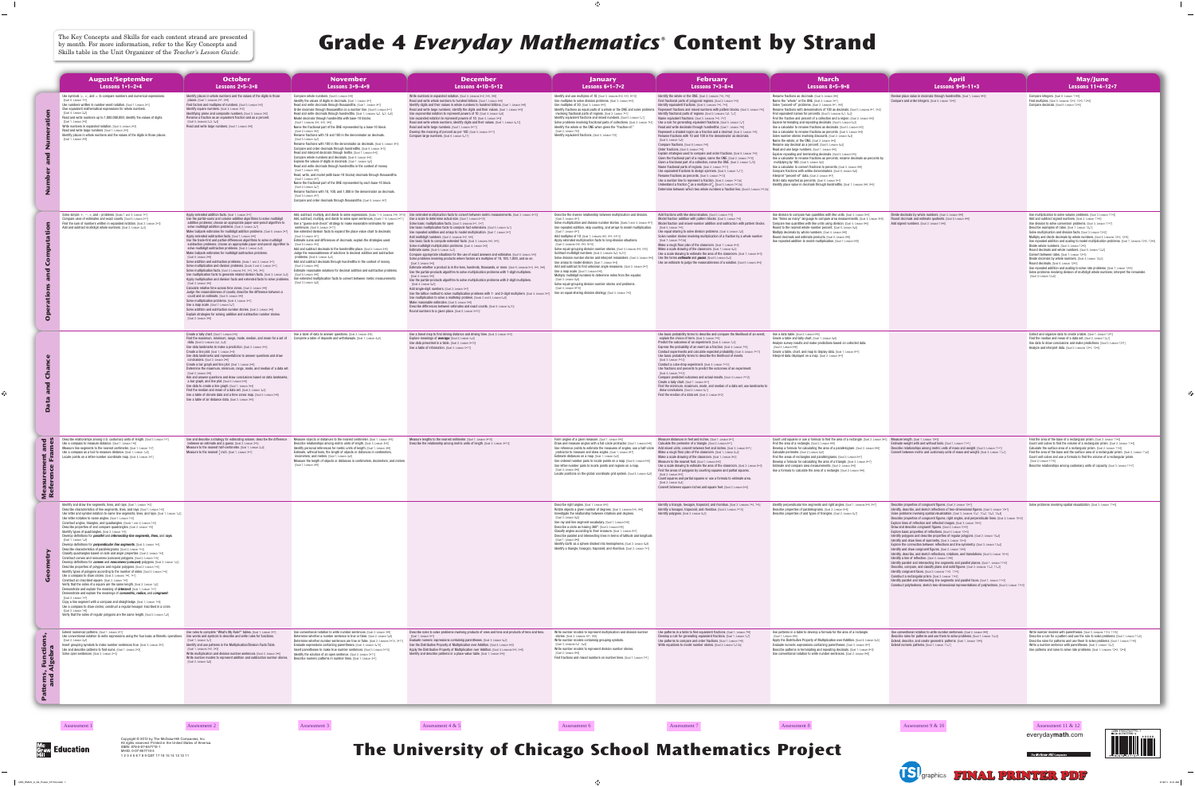## by month. For more information, refer to the Key Concepts and Skills table in the Unit Organizer of the *Teacher's Lesson Guide*.



## **The University of Chicago School Mathematics Project**

|                                  | <b>August/September</b>                                                                                                                                                                                                                                                                                                                                                                                                                                                                                                                                                                                                                                                                                                                                                                                                                                                                                                                                                                                                                                                                                                                                                                                                                                                                                                                                                                                                                                                                                                                                                                                                                                                                                                                                                                                                                                                                                                                                               | <b>October</b>                                                                                                                                                                                                                                                                                                                                                                                                                                                                                                                                                                                                                                                                                                                                                                                                                                                                                                                                                                                                                                                                                                                                                                                                                                                                                                                                                                                                                                                                                                                                                                                                                                                                         | <b>November</b>                                                                                                                                                                                                                                                                                                                                                                                                                                                                                                                                                                                                                                                                                                                                                                                                                                                                                                                                                                                                                                                                                                                                                                                                                                                                                                                                                                                                                                                                                                          | <b>December</b>                                                                                                                                                                                                                                                                                                                                                                                                                                                                                                                                                                                                                                                                                                                                                                                                                                                                                                                                                                                                                                                                                                                                                                                                                                                                                                                                                                                                                                                                                                                                                                                                                                                                                                                                                                          | <b>January</b>                                                                                                                                                                                                                                                                                                                                                                                                                                                                                                                                                                                                                                                                                                                                                                                                                                                                                                                                                                                                                                                                                                                                                              | <b>February</b>                                                                                                                                                                                                                                                                                                                                                                                                                                                                                                                                                                                                                                                                                                                                                                                                                                                                                                                                                                                                                                                                                                                                                                                                                                                                                                                                                                                                                                                                                                                                             | <b>March</b>                                                                                                                                                                                                                                                                                                                                                                                                                                                                                                                                                                                                                                                                                                                                                                                                                                                                                                                                                                                                                                                                                                                                                                                                                                                                                                                                                                                                                                                               | <b>April</b>                                                                                                                                                                                                                                                                                                                                                                                                                                                                                                                                                                                                                                                                                                                                                                                                                                                                                                                                                                                                                                                                                                                                                                                                                                                                                                                                                                                                                                                                                                                                                                       | May                                                                                                                                                                                                                                                                                                                                                                                                                                                                                                                                                                                                                                                                                                                                                        |
|----------------------------------|-----------------------------------------------------------------------------------------------------------------------------------------------------------------------------------------------------------------------------------------------------------------------------------------------------------------------------------------------------------------------------------------------------------------------------------------------------------------------------------------------------------------------------------------------------------------------------------------------------------------------------------------------------------------------------------------------------------------------------------------------------------------------------------------------------------------------------------------------------------------------------------------------------------------------------------------------------------------------------------------------------------------------------------------------------------------------------------------------------------------------------------------------------------------------------------------------------------------------------------------------------------------------------------------------------------------------------------------------------------------------------------------------------------------------------------------------------------------------------------------------------------------------------------------------------------------------------------------------------------------------------------------------------------------------------------------------------------------------------------------------------------------------------------------------------------------------------------------------------------------------------------------------------------------------------------------------------------------------|----------------------------------------------------------------------------------------------------------------------------------------------------------------------------------------------------------------------------------------------------------------------------------------------------------------------------------------------------------------------------------------------------------------------------------------------------------------------------------------------------------------------------------------------------------------------------------------------------------------------------------------------------------------------------------------------------------------------------------------------------------------------------------------------------------------------------------------------------------------------------------------------------------------------------------------------------------------------------------------------------------------------------------------------------------------------------------------------------------------------------------------------------------------------------------------------------------------------------------------------------------------------------------------------------------------------------------------------------------------------------------------------------------------------------------------------------------------------------------------------------------------------------------------------------------------------------------------------------------------------------------------------------------------------------------------|--------------------------------------------------------------------------------------------------------------------------------------------------------------------------------------------------------------------------------------------------------------------------------------------------------------------------------------------------------------------------------------------------------------------------------------------------------------------------------------------------------------------------------------------------------------------------------------------------------------------------------------------------------------------------------------------------------------------------------------------------------------------------------------------------------------------------------------------------------------------------------------------------------------------------------------------------------------------------------------------------------------------------------------------------------------------------------------------------------------------------------------------------------------------------------------------------------------------------------------------------------------------------------------------------------------------------------------------------------------------------------------------------------------------------------------------------------------------------------------------------------------------------|------------------------------------------------------------------------------------------------------------------------------------------------------------------------------------------------------------------------------------------------------------------------------------------------------------------------------------------------------------------------------------------------------------------------------------------------------------------------------------------------------------------------------------------------------------------------------------------------------------------------------------------------------------------------------------------------------------------------------------------------------------------------------------------------------------------------------------------------------------------------------------------------------------------------------------------------------------------------------------------------------------------------------------------------------------------------------------------------------------------------------------------------------------------------------------------------------------------------------------------------------------------------------------------------------------------------------------------------------------------------------------------------------------------------------------------------------------------------------------------------------------------------------------------------------------------------------------------------------------------------------------------------------------------------------------------------------------------------------------------------------------------------------------------|-----------------------------------------------------------------------------------------------------------------------------------------------------------------------------------------------------------------------------------------------------------------------------------------------------------------------------------------------------------------------------------------------------------------------------------------------------------------------------------------------------------------------------------------------------------------------------------------------------------------------------------------------------------------------------------------------------------------------------------------------------------------------------------------------------------------------------------------------------------------------------------------------------------------------------------------------------------------------------------------------------------------------------------------------------------------------------------------------------------------------------------------------------------------------------|-------------------------------------------------------------------------------------------------------------------------------------------------------------------------------------------------------------------------------------------------------------------------------------------------------------------------------------------------------------------------------------------------------------------------------------------------------------------------------------------------------------------------------------------------------------------------------------------------------------------------------------------------------------------------------------------------------------------------------------------------------------------------------------------------------------------------------------------------------------------------------------------------------------------------------------------------------------------------------------------------------------------------------------------------------------------------------------------------------------------------------------------------------------------------------------------------------------------------------------------------------------------------------------------------------------------------------------------------------------------------------------------------------------------------------------------------------------------------------------------------------------------------------------------------------------|----------------------------------------------------------------------------------------------------------------------------------------------------------------------------------------------------------------------------------------------------------------------------------------------------------------------------------------------------------------------------------------------------------------------------------------------------------------------------------------------------------------------------------------------------------------------------------------------------------------------------------------------------------------------------------------------------------------------------------------------------------------------------------------------------------------------------------------------------------------------------------------------------------------------------------------------------------------------------------------------------------------------------------------------------------------------------------------------------------------------------------------------------------------------------------------------------------------------------------------------------------------------------------------------------------------------------------------------------------------------------------------------------------------------------------------------------------------------------|------------------------------------------------------------------------------------------------------------------------------------------------------------------------------------------------------------------------------------------------------------------------------------------------------------------------------------------------------------------------------------------------------------------------------------------------------------------------------------------------------------------------------------------------------------------------------------------------------------------------------------------------------------------------------------------------------------------------------------------------------------------------------------------------------------------------------------------------------------------------------------------------------------------------------------------------------------------------------------------------------------------------------------------------------------------------------------------------------------------------------------------------------------------------------------------------------------------------------------------------------------------------------------------------------------------------------------------------------------------------------------------------------------------------------------------------------------------------------------------------------------------------------------------------------------------------------------|------------------------------------------------------------------------------------------------------------------------------------------------------------------------------------------------------------------------------------------------------------------------------------------------------------------------------------------------------------------------------------------------------------------------------------------------------------------------------------------------------------------------------------------------------------------------------------------------------------------------------------------------------------------------------------------------------------------------------------------------------------|
|                                  | <b>Lessons 1+1-2+4</b><br>Use symbols $>$ , $<$ , and $=$ to compare numbers and numerical expressions<br>[Goal 6; Lesson 1•1]<br>Use numbers written in number-word notation. IGoal 1: Lesson 2.1<br>Give equivalent mathematical expressions for whole numbers.<br>[Goal 4; Lesson 2•2]<br>Read and write numbers up to 1,000,000,000; identify the values of digits.<br>[Goal 1; Lesson 2•3]<br>Write numbers in expanded notation. [Goal 4: Lesson 2•3]<br>Read and write large numbers. [Goal 1; Lesson 2•4]<br>Identify places in whole numbers and the values of the digits in those places.<br>[Goal 1; Lesson 2+4]                                                                                                                                                                                                                                                                                                                                                                                                                                                                                                                                                                                                                                                                                                                                                                                                                                                                                                                                                                                                                                                                                                                                                                                                                                                                                                                                           | Lessons $2 \cdot 5 - 3 \cdot 8$<br>Identify places in whole numbers and the values of the digits in those<br>places. [Goal 1; Lessons $2 \cdot 7$ , $2 \cdot 9$ ]<br>Find factors and multiples of numbers. [Goal 3; Lesson 3+2]<br><b>Identify square numbers.</b> [Goal 4; Lesson 3•2]<br>Identifying prime and composite numbers. [Goal 3; Lesson 3+2]<br>Rename a fraction as an equivalent fraction and as a percent.<br>[Goal 5; Lessons 3•3, 3•4]<br>Read and write large numbers. [Goal 1; Lesson 3•6]                                                                                                                                                                                                                                                                                                                                                                                                                                                                                                                                                                                                                                                                                                                                                                                                                                                                                                                                                                                                                                                                                                                                                                         | Lessons $3+9-4+9$<br>Compare whole numbers. [Goal 6; Lesson 3•9]<br><b>Identify the values of digits in decimals.</b> [Goal 1; Lesson 4•1]<br>Read and write decimals through thousandths. [Goal 1; Lesson 4•1]<br>Order decimals through thousandths on a number line. [Goal 6; Lesson 4+1]<br>Read and write decimals through hundredths. [Goal 1; Lessons 4.2, 4.3, 4.8]<br>Model decimals through hundredths with base-10 blocks.<br>[Goal 1; Lessons 4*2, 4*3, 4*5]<br>Name the fractional part of the ONE represented by a base-10 block.<br>FGoal 2: Lesson 4*21<br>Rename fractions with 10 and 100 in the denominator as decimals.<br>[Goal 5; Lesson 4*2]<br>Rename fractions with 100 in the denominator as decimals. [Goal 5; Lesson 4•3]<br>Compare and order decimals through hundredths. [Goal 6; Lesson 4+3]<br>Read and interpret decimals through tenths. [Goal 1; Lesson 4•4]<br>Compare whole numbers and decimals. [Goal 6: Lesson 4*4]<br><b>Express the values of digits in decimals.</b> [Goal 1; Lesson 4•5]<br>Read and write decimals through hundredths in the context of money.<br>[Goal 1; Lesson 4•6]<br>Read, write, and model (with base-10 blocks) decimals through thousandths.<br>FGoal 1: Lesson 4*71<br>Name the fractional part of the ONE represented by each base-10 block.<br>[Goal 2; Lesson 4•7]<br>Rename fractions with 10, 100, and 1,000 in the denominator as decimals.<br>IGoal 5: Lesson 4•71<br>Compare and order decimals through thousandths. [Goal 6; Lesson 4+7] | Lessons $4 \cdot 10 - 5 \cdot 12$<br>Write numbers in expanded notation. [Goal 4; Lessons 5 • 2, 5 • 5, 5 • 6]<br>Read and write whole numbers to hundred billions. [Goal 1; Lesson 5•8]<br>Identify digits and their values in whole numbers to hundred billions. [Goal 1; Lesson $5\cdot 8$ ]<br>Read and write large numbers; identify the digits and their values. [Goal 1; Lesson 5+9]<br>Use exponential notation to represent powers of 10. [Goal 4; Lesson 5•9]<br>Use expanded notation to represent powers of 10. [Goal 4; Lesson 5+9]<br>Read and write whole numbers; identify digits and their values. [Goal 1; Lesson 5•10]<br>Read and write large numbers. [Goal 1; Lesson 5 • 11]<br>Develop the meaning of percent as per 100. [Goal 5; Lesson 5 • 11]<br>Compare large numbers. [Goal 6; Lesson 5•11]                                                                                                                                                                                                                                                                                                                                                                                                                                                                                                                                                                                                                                                                                                                                                                                                                                                                                                                                                                 | Lessons $6 \cdot 1 - 7 \cdot 2$<br>Identify and use multiples of 10. [Goal 3; Lessons 6 • 2, 6 • 3, 6 • 10]<br>Use multiples to solve division problems. [Goal 3; Lesson 6 • 4]<br>Use multiples of 30. [Goal 3; Lesson $6 - 5$ ]<br>Identify fractions as equal parts of a whole or the ONE and solve problems<br>involving fractional parts of regions. [Goal 2; Lesson 7•1]<br>Identify equivalent fractions and mixed numbers. [Goal 5; Lesson 7 • 1]<br>Solve problems involving fractional parts of collections. [Goal 2;<br>Identify the whole or the ONE when given the "fraction-of."<br>[Goal 2; Lesson 7*2]<br>Identify equivalent fractions. [Goal 5; Lesson 7*2]                                                                                                                                                                                                                                                                                                                                                                                                                                                                                               | Lessons 7+3-8+4<br>Identify the whole or the ONE. [Goal 2; Lessons 7•4, 7•5]<br>Find fractional parts of polygonal regions. [Goal 2; Lesson 7+4]<br>Identify equivalent fractions. [Goal 5; Lessons 7+4, 7+5]<br><b>Represent fractions and mixed numbers with pattern blocks.</b> [Goal 2: Les<br><b>Identify fractional parts of regions.</b> IGoal 2: Lessons 7.6, 7.71<br>Name equivalent fractions. [Goal 5; Lessons 7•6, 7•7]<br>Use a rule for generating equivalent fractions. [Goal 5; Lesson 7.7]<br>Read and write decimals through hundredths. [Goal 1; Lesson 7•8]<br>Represent a shaded region as a fraction and a decimal. [Goal 2; Lesson 7•8]<br>Rename fractions with 10 and 100 in the denominator as decimals.<br>[Goal 5; Lesson 7•8]<br>Compare fractions. [Goal 6; Lesson 7•9]<br>Order fractions. [Goal 6; Lesson 7•9]<br>Explain strategies used to compare and order fractions. [Goal 6; Lesson 7.9]<br>Given the fractional part of a region, name the ONE. [Goal 2; Lesson 7 • 10]<br>Given a fractional part of a collection, name the ONE. [Goal 2; Lesson 7 • 10]<br>Name fractional parts of regions. [Goal 2; Lesson 7 • 11]<br>Use equivalent fractions to design spinners. [Goal 5; Lesson 7 • 11]<br>Rename fractions as percents. [Goal 5; Lesson 7 • 12]<br>Use a number line to represent a fraction. [Goal 2; Lesson 7 • 12a]<br>Understand a fraction $\frac{a}{b}$ as a multiple of $\frac{1}{b}$ . [Goal 3; Lesson 7•12a]<br>Determine between which two whole numbers a fraction lies. [Goal 6; Lesson 7 • 12a] | Lessons $8 \cdot 5 - 9 \cdot 8$<br>Rename fractions as decimals. [Goal 5; Lesson 8•5]<br>Name the "whole" or the ONE. [Goal 2; Lesson 9 • 1]<br>Solve "percent-of" problems. [Goal 2; Lessons 9+1, 9+2]<br>Rename fractions with denominators of 100 as decimals. [Goal 5; Lessons 9-1, 9-2]<br>Find equivalent names for percents. [Goal 5; Lessons $9-1$ , $9-2$ ]<br>Find the fraction and percent of a collection and a region. [Goal 2; Lesson 9•2]<br>Explore terminating and repeating decimals. [Goal 5; Lesson 9+3]<br>Use a calculator to rename fractions as decimals. [Goal 5; Lesson 9•3]<br>Use a calculator to rename fractions as percents. [Goal 5; Lesson 9•4]<br>Solve number stories involving discounts. [Goal 2; Lesson 9+4]<br>Name the whole, or the ONE. [Goal 2; Lesson 9+4]<br>Rename any decimal as a percent. [Goal 5; Lesson 9•4]<br>Read and use large numbers. [Goal 1; Lesson 9-5]<br>Explore repeating and terminating decimals. [Goal 5; Lesson 9•5]<br>Use a calculator to rename fractions as percents; rename decimals as percents by<br>multiplying by 100. [Goal 5; Lesson 9•5]<br>Use a calculator to convert fractions to percents. [Goal 5: Lesson 9•6]<br>Compare fractions with unlike denominators. [Goal 6; Lesson 9+6]<br>Interpret "percent-of" data. [Goal 2; Lesson 9•7]<br>Order data reported as percents. [Goal 6: Lesson 9•7]<br>Identify place value in decimals through hundredths. [Goal 1; Lessons $9*8, 9*9$ ] | Lessons $9 \div 9 - 11 \div 3$<br>Review place value in decimals through hundredths. [Goal 1; Lesson 9•9]<br>Compare and order integers. [Goal 6; Lesson 10+6]                                                                                                                                                                                                                                                                                                                                                                                                                                                                                                                                                                                                                                                                                                                                                                                                                                                                                                                                                                                                                                                                                                                                                                                                                                                                                                                                                                                                                     | <b>Lessons 1</b><br><b>Compare integers.</b> [Goal 6; Lesson 11•6]<br>Find multiples. [Goal 5; Lessons 12+2, 12+3, 12+4<br>Compare decimals. [Goal 6; Lesson 12+5]                                                                                                                                                                                                                                                                                                                                                                                                                                                                                                                                                                                         |
|                                  | Solve simple $+, -, *,$ and / problems. [Goals 1 and 3; Lesson 1•1]<br>Compare uses of estimates and exact counts. [Goal 6; Lesson 2 • 1]<br>Find the sum of numbers written in expanded notation. [Goal 2; Lesson $2 \cdot 3$ ]<br>Add and subtract multidigit whole numbers. [Goal 2; Lesson 2*4]                                                                                                                                                                                                                                                                                                                                                                                                                                                                                                                                                                                                                                                                                                                                                                                                                                                                                                                                                                                                                                                                                                                                                                                                                                                                                                                                                                                                                                                                                                                                                                                                                                                                   | Apply extended addition facts. [Goal 1; Lesson 2+7]<br>Use the partial-sums and column-addition algorithms to solve multidigit<br>addition problems; choose an appropriate paper-and-pencil algorithm to<br>solve multidigit addition problems. [Goal 2; Lesson 2+7]<br>Make ballpark estimates for multidigit addition problems. [Goal 6; Lesson 2•7]<br>Apply extended subtraction facts. [Goal 1; Lesson 2+9]<br>Use the trade-first and partial-differences algorithms to solve multidigit<br>subtraction problems; choose an appropriate paper-and-pencil algorithm to [Goal 6; Lesson 4+4]<br>solve multidigit subtraction problems. [Goal 2; Lesson 2•9]<br>Make ballpark estimates for multidigit subtraction problems.<br>[Goal 6; Lesson 2∙9]<br>Solve addition and subtraction problems. [Goals 1 and 2; Lesson 3+1]<br>Solve multiplication and division problems. [Goals 3 and 4; Lesson 3•1]<br>Solve multiplication facts. [Goal 3; Lessons $3-2$ , $3-3$ , $3-4$ , $3-5$ ]<br>Use multiplication facts to generate related division facts. $[Goal 3; Lesson 3*5]$ $[Goal 6; Lesson 4*6]$<br>Apply multiplication and division facts and extended facts to solve problems.<br>[Goal 3; Lesson 3•5]<br>Calculate relative time across time zones. [Goal 2; Lesson 3+6]<br>Judge the reasonableness of counts; describe the difference between a<br>count and an estimate. [Goal 6; Lesson 3•6]<br>Solve multiplication problems. [Goal 4; Lesson 3+7]<br>Use a map scale. [Goal 7; Lesson 3•7]<br>Solve addition and subtraction number stories. [Goal 2; Lesson 3•8]<br>Explain strategies for solving addition and subtraction number stories.<br>[Goal 2; Lesson 3•8] | Add, subtract, multiply, and divide to solve open sentences. [Goals 1-4; Lesson 3•11]<br>Use a "guess-and-check" strategy to make reasonable estimates for open<br>sentences. [Goal 6; Lesson 3•11]<br>Use extended division facts to expand the place-value chart to decimals.<br>[Goal 3; Lesson 4•1]<br>Estimate sums and differences of decimals; explain the strategies used.<br>Add and subtract decimals to the hundredths place. [Goal 2; Lesson 4+5]<br>Judge the reasonableness of solutions to decimal addition and subtraction<br><b>problems.</b> [Goal 6; Lesson 4•5]<br>Add and subtract decimals through hundredths in the context of money.<br>[Goal 2; Lesson 4•6]<br>Estimate reasonable solutions for decimal addition and subtraction problems.<br>Use extended multiplication facts to convert between metric measurements.<br>[Goal 3; Lesson 4*8]                                                                                                                                                                                                                                                                                                                                                                                                                                                                                                                                                                                                                                                | Add, subtract, multiply, and divide to solve expressions. [Goals 1–4; Lessons 3+9, 3+10] Use extended multiplication facts to convert between metric measurements. [Goal 3; Lesson 4+10]<br>Use a scale to determine actual size. [Goal 7; Lesson 4•10]<br>Solve basic multiplication facts. [Goal 3; Lessons 5+1, 5+7]<br>Use basic multiplication facts to compute fact extensions. [Goal 3; Lesson 5•1]<br>Use repeated addition and arrays to model multiplication. [Goal 7; Lesson 5•1]<br>Add multidigit numbers. [Goal 2; Lessons 5 • 2, 5 • 5]<br>Use basic facts to compute extended facts. [Goal 3; Lessons 5.2, 5.5]<br>Solve multidigit multiplication problems. [Goal 4; Lesson 5+2]<br><b>Estimate sums.</b> [Goal 6; Lesson 5•3]<br>Compare appropriate situations for the use of exact answers and estimates. [Goal 6; Lesson 5.3]<br>Solve problems involving products where factors are multiples of 10, 100, 1,000, and so on.<br>[Goal 3; Lesson 5•4]<br>Estimate whether a product is in the tens, hundreds, thousands, or more. [Goal 6; Lessons 5*4, 5*5, 5*6]<br>Use the partial-products algorithm to solve multiplication problems with 1-digit multipliers.<br>[Goal 4; Lesson 5+5]<br>Use the partial-products algorithm to solve multiplication problems with 2-digit multipliers.<br>[Goal 4; Lesson 5•6]<br>Add single-digit numbers. [Goal 2; Lesson 5+7]<br>Use the lattice method to solve multiplication problems with 1- and 2-digit multipliers. [Goal 4; Lesson 9]<br>Use multiplication to solve a multistep problem. [Goals 3 and 4; Lesson 5•8]<br>Make reasonable estimates. [Goal 6; Lesson 5•8]<br>Describe differences between estimates and exact counts. [Goal 6; Lesson 5•10]<br>Round numbers to a given place. [Goal 6; Lesson 5 • 10] | Describe the inverse relationship between multiplication and division.<br>[Goal 3: Lesson 6◆1]<br>Solve multiplication and division number stories. [Goals 3 and 4; Lesson 6.1]<br>Use repeated addition, skip counting, and arrays to model multiplication.<br>[Goal 7; Lesson 6•1]<br>Add multiples of 10. [Goal 1; Lessons $6-2$ , $6-3$ , $6-10$ ]<br>Apply extended multiplication facts to long-division situations.<br>[Goal 3; Lessons 6•2, 6•3, 6•10]<br>Solve equal-grouping division number stories. [Goal 4; Lessons 6•2, 6•3] Make a scale drawing of the classroom. [Goal 7; Lesson 8•2]<br>Subtract multidigit numbers. [Goal 2; Lessons 6•3, 6•10]<br>Solve division number stories and interpret remainders. [Goal 4; Lesso]<br>Use arrays to model division. [Goal 7; Lesson $6*4$ ]<br>Add and subtract to find unknown angle measures. [Goal 2: Lesson 6.7]<br>Use a map scale. [Goal 7; Lesson 6•8]<br>Multiply multidigit numbers to determine miles from the equator.<br>[Goal 4; Lesson 6*9]<br>Solve equal-grouping division number stories and problems.<br>[Goal 4; Lesson 6•10]<br>Use an equal-sharing division strategy. [Goal 4; Lesson 7•2] | Add fractions with like denominators. [Goal 5; Lesson 7•3]<br>Model fraction addition with pattern blocks. [Goal 5: Lesson 7 • 4]<br>Model fraction and mixed-number addition and subtraction with pattern b<br>[Goal 5; Lesson 7•5]<br>Use equal sharing to solve division problems. [Goal 4; Lesson $7 \cdot 8$ ]<br>Solve number stories involving multiplication of a fraction by a whole number<br>[Goal 7; Lesson 7•12a]<br>Make a rough floor plan of the classroom. [Goal 7; Lesson 8•2]<br>Use a scale drawing to estimate the area of the classroom. [Goal 7; Lesson 8•3]<br>Use the terms <i>estimate</i> and <i>guess</i> . [Goal 6; Lesson 8*4]<br>Use an estimate to judge the reasonableness of a solution. [Goal 6; Lesson 8+4]                                                                                                                                                                                                                                                                                                                                                                                                                                                                                                                                                                                                                                                                                                                                                                                                             | Use division to compare two quantities with like units. [Goal 4; Lesson $8*8$ ]<br>Use "times as many" language to compare area measurements. [Goal 4; Lesson 8•8]<br>Compare two quantities with like units using division. [Goal 4; Lesson 9•5]<br>Round to the nearest whole-number percent. [Goal 6; Lesson 9•5]<br>Multiply decimals by whole numbers. [Goal 4; Lesson 9•8]<br>Round decimals and estimate products. [Goal 6: Lesson 9•8]<br>Use repeated addition to model multiplication. [Goal 7; Lesson 9•8]                                                                                                                                                                                                                                                                                                                                                                                                                                                                                                                                                                                                                                                                                                                                                                                                                                                                                                                                                      | Divide decimals by whole numbers. [Goal 4; Lesson 9•9]<br>Round decimals and estimate quotients. [Goal 6; Lesson 9•9]<br>Add signed numbers. [Goal 2; Lesson 10+6]                                                                                                                                                                                                                                                                                                                                                                                                                                                                                                                                                                                                                                                                                                                                                                                                                                                                                                                                                                                                                                                                                                                                                                                                                                                                                                                                                                                                                 | Use multiplication to solve volume problems. [0]<br>Add and subtract signed numbers. [Goal 2; Lesse<br>Use division to solve conversion problems. [Goa<br>Describe examples of rates. [Goal 7; Lesson 12+1<br>Solve multiplication and division facts. [Goal 3; L<br>Multiply and divide decimals by whole number<br>Use repeated addition and scaling to model mu<br>Divide whole numbers. [Goal 4; Lesson 12+3]<br>Round decimals and whole numbers. [Goal 6: Le<br><b>Convert between rates.</b> [Goal 7; Lesson 12•3]<br>Divide decimals by whole numbers. [Goal 4; Les<br><b>Round decimals.</b> [Goal 6; Lesson 12•5]<br>Use repeated addition and scaling to solve rate<br>Solve problems involving division of multidigit<br>[Goal 4; Lesson 12•6] |
|                                  |                                                                                                                                                                                                                                                                                                                                                                                                                                                                                                                                                                                                                                                                                                                                                                                                                                                                                                                                                                                                                                                                                                                                                                                                                                                                                                                                                                                                                                                                                                                                                                                                                                                                                                                                                                                                                                                                                                                                                                       | Create a tally chart. [Goal 1: Lesson 2+5]<br>Find the maximum, minimum, range, mode, median, and mean for a set of Complete a table of deposits and withdrawals. [Goal 1; Lesson 4+6]<br>data. [Goal 2; Lessons $2 \cdot 5$ , $2 \cdot 6$ ]<br>Use data landmarks to make a prediction. [Goal 2; Lesson 2 · 5]<br>Create a line plot. [Goal 1; Lesson 2•6]<br>Use data landmarks and representations to answer questions and draw<br>conclusions. [Goal 2; Lesson 2•6]<br>Create a bar graph and line plot. [Goal 1; Lesson 2 · 8]<br>Determine the maximum, minimum, range, mode, and median of a data set.<br>IGoal 2: Lesson 2•81<br>Ask and answer questions and draw conclusions based on data landmarks.<br>a bar graph, and line plot. [Goal 2; Lesson 2•8]<br>Use data to create a line graph. [Goal 1; Lesson 3•4]<br>Find the median and mean of a data set. [Goal 2; Lesson 3*4]<br>Use a table of climate data and a time zones map. [Goal 2; Lesson 3•6]<br>Use a table of air distance data. [Goal 2; Lesson 3•8]                                                                                                                                                                                                                                                                                                                                                                                                                                                                                                                                                                                                                                                       | Use a table of data to answer questions. $[Goal 2; Lesson 4*4]$                                                                                                                                                                                                                                                                                                                                                                                                                                                                                                                                                                                                                                                                                                                                                                                                                                                                                                                                                                                                                                                                                                                                                                                                                                                                                                                                                                                                                                                          | Use a travel map to find driving distance and driving time. [Goal 2; Lesson $5\cdot 3$ ]<br>Explore meanings of <b>average</b> . [Goal 2; Lesson 5 • 4]<br>Use data presented in a table. [Goal 2; Lesson 5 • 10]<br>Use a table of information. [Goal 2; Lesson 5+11]                                                                                                                                                                                                                                                                                                                                                                                                                                                                                                                                                                                                                                                                                                                                                                                                                                                                                                                                                                                                                                                                                                                                                                                                                                                                                                                                                                                                                                                                                                                   |                                                                                                                                                                                                                                                                                                                                                                                                                                                                                                                                                                                                                                                                                                                                                                                                                                                                                                                                                                                                                                                                                                                                                                             | Use basic probability terms to describe and compare the likelihood of an event:<br>explain the choice of term. [Goal 3; Lesson 7•3]<br><b>Predict the outcomes of an experiment.</b> [Goal 4; Lesson 7•3]<br>Express the probability of an event as a fraction. [Goal 4; Lesson 7•3]<br>Conduct experiments and calculate expected probability. [Goal 4; Lesson 7.<br>Use basic probability terms to describe the likelihood of events.<br>[Goal 3; Lesson 7•12]<br>Conduct a cube-drop experiment. [Goal 4; Lesson 7 • 12]<br>Use fractions and percents to predict the outcomes of an experiment.<br>[Goal 4; Lesson 7•12]<br>Compare predicted outcomes and actual results. [Goal 4; Lesson 7 • 12]<br>Create a tally chart. [Goal 1; Lesson 8•1]<br>Find the minimum, maximum, mode, and median of a data set; use landmarks to<br>draw conclusions. [Goal 2; Lesson 8*1]<br>Find the median of a data set. [Goal 2; Lesson 8•2]                                                                                                                                                                                                                                                                                                                                                                                                                                                                                                                                                                                                                        | Use a data table. [Goal 2; Lesson 9•5]<br>Create a table and tally chart. [Goal 1; Lesson 9+6]<br>Analyze survey results and make predictions based on collected data.<br>[Goal 2; Lesson 9•6]<br>Create a table, chart, and map to display data. [Goal 1; Lesson 9.7]<br>Interpret data displayed on a map. [Goal 2; Lesson 9•7]                                                                                                                                                                                                                                                                                                                                                                                                                                                                                                                                                                                                                                                                                                                                                                                                                                                                                                                                                                                                                                                                                                                                          |                                                                                                                                                                                                                                                                                                                                                                                                                                                                                                                                                                                                                                                                                                                                                                                                                                                                                                                                                                                                                                                                                                                                                                                                                                                                                                                                                                                                                                                                                                                                                                                    | Collect and organize data to create a table. [Go<br>Find the median and mean of a data set. [Goal :<br>Use data to draw conclusions and make predic<br>Analyze and interpret data. [Goal 2; Lessons 12+3                                                                                                                                                                                                                                                                                                                                                                                                                                                                                                                                                   |
| <b>Measure</b><br>Refere         | Describe relationships among U.S. customary units of length. [Goal 3; Lesson 1•1]<br>Use a compass to measure distance. [Goal 1; Lesson 1+6]<br>Measure line segments to the nearest centimeter. [Goal 1; Lesson 1•7]<br>Use a compass as a tool to measure distance. [Goal 1; Lesson 1•8]<br>Locate points on a letter-number coordinate map. [Goal 4; Lesson 2*1]                                                                                                                                                                                                                                                                                                                                                                                                                                                                                                                                                                                                                                                                                                                                                                                                                                                                                                                                                                                                                                                                                                                                                                                                                                                                                                                                                                                                                                                                                                                                                                                                   | Use and describe a strategy for estimating volume; describe the difference<br>between an estimate and a quess. [Goal 2: Lesson 2•5]<br>Measure to the nearest half-centimeter. [Goal 1; Lesson 2•8]<br><b>Measure to the nearest</b> $\frac{1}{2}$ inch. [Goal 1; Lesson 3•7]                                                                                                                                                                                                                                                                                                                                                                                                                                                                                                                                                                                                                                                                                                                                                                                                                                                                                                                                                                                                                                                                                                                                                                                                                                                                                                                                                                                                          | Measure objects or distances to the nearest centimeter. [Goal 1: Lesson 4•8]<br>Describe relationships among metric units of length. [Goal 3; Lesson 4+8]<br>Identify personal references for metric units of length. [Goal 1; Lesson 4+9]<br>Estimate, without tools, the length of objects or distances in centimeters,<br>decimeters, and meters. [Goal 1; Lesson 4•9]<br>Measure the length of objects or distances in centimeters, decimeters, and meters.<br>[Goal 1: Lesson 4◆9]                                                                                                                                                                                                                                                                                                                                                                                                                                                                                                                                                                                                                                                                                                                                                                                                                                                                                                                                                                                                                                  | Measure lengths to the nearest millimeter. [Goal 1; Lesson 4•10]<br>Describe the relationship among metric units of length. [Goal 3; Lesson 4•10]                                                                                                                                                                                                                                                                                                                                                                                                                                                                                                                                                                                                                                                                                                                                                                                                                                                                                                                                                                                                                                                                                                                                                                                                                                                                                                                                                                                                                                                                                                                                                                                                                                        | Form angles of a given measure. [Goal 1; Lesson 6•5]<br>Draw and measure angles with a full-circle protractor. [Goal 1; Lesson 6+6] Calculate the perimeter of a triangle. [Goal 2; Lesson 8+1]<br>Use reference points to estimate the measures of angles; use a half-circle $\;$ Add mixed units; convert between feet and inches. [Goal 3; Lesson 8•1]<br>protractor to measure and draw angles. [Goal 1; Lesson 6•7]<br>Estimate distances on a map. [Goal 1; Lesson 6•8]<br>Use ordered number pairs to locate points on a map. [Goal 4: Lesson 6•8]<br>Use letter-number pairs to locate points and regions on a map.<br>[Goal 4: Lesson 6◆8]<br>Locate positions on the global coordinate grid system. [Goal 4; Lesson 6+9]                                                                                                                                                                                                                                                                                                                                                                                                                                          | Measure distances in feet and inches. [Goal 1; Lesson 8•1]<br>Make a rough floor plan of the classroom. [Goal 1; Lesson 8•2]<br>Make a scale drawing of the classroom. [Goal 1; Lesson 8*2]<br>Measure to the nearest foot. [Goal 1: Lesson 8•2]<br>Use a scale drawing to estimate the area of the classroom. [Goal 2; Lesson 8.3]<br>Find the areas of polygons by counting squares and partial squares.<br>[Goal 2; Lesson 8•3]<br>Count squares and partial squares or use a formula to estimate area.<br>IGoal 2: Lesson 8*41<br>Convert between square inches and square feet. [Goal 3; Lesson 8+4]                                                                                                                                                                                                                                                                                                                                                                                                                                                                                                                                                                                                                                                                                                                                                                                                                                                                                                                                                   | Count unit squares or use a formula to find the area of a rectangle. [Goal 2; Lesson 8 $\cdot$ 5] Measure length. [Goal 1; Lesson 10 $\cdot$ 3]<br>Find the area of a rectangle. [Goal 2: Lesson 8•6]<br>Develop a formula for calculating the area of a parallelogram. [Goal 2; Lesson $8\cdot 6$ ]<br><b>Calculate perimeter.</b> [Goal 2; Lesson 8•6]<br>Find the areas of rectangles and parallelograms. [Goal 2; Lesson 8•7]<br>Develop a formula for calculating the area of a triangle. [Goal 2; Lesson 8•7]<br><b>Estimate and compare area measurements.</b> [Goal 2; Lesson 8•8]<br>Use a formula to calculate the area of a rectangle. [Goal 2; Lesson 9•8]                                                                                                                                                                                                                                                                                                                                                                                                                                                                                                                                                                                                                                                                                                                                                                                                     | <b>Estimate weight with and without tools.</b> [Goal 1: Lesson 11•1]<br>Describe relationships among metric units of mass and weight. [Goal 3; Lesson 11•1]<br>Convert between metric and customary units of mass and weight. [Goal 3; Lesson 11•1]                                                                                                                                                                                                                                                                                                                                                                                                                                                                                                                                                                                                                                                                                                                                                                                                                                                                                                                                                                                                                                                                                                                                                                                                                                                                                                                                | Find the area of the base of a rectangular prisr<br>Count unit cubes to find the volume of a rectar<br>Calculate the surface area of a rectangular pris<br>Find the area of the base and the surface area<br>Count unit cubes and use a formula to find the<br>[Goal 2; Lesson 11•5]<br>Describe relationships among customary units                                                                                                                                                                                                                                                                                                                                                                                                                       |
|                                  | <b>Identify and draw line segments, lines, and rays.</b> [Goal 1; Lesson 1•2]<br>Describe characteristics of line segments, lines, and rays. [Goal 1; Lesson 1•2]<br>Use letter and symbol notation to name line segments, lines, and rays. [Goal 1; Lesson 1•2]<br>Use letter notation to name angles. [Goal 1: Lesson 1•3]<br>Construct angles, triangles, and quadrangles. [Goals 1 and 2; Lesson 1•3]<br>Describe properties of and compare quadrangles. [Goal 2; Lesson 1•3]<br><b>Identify types of quadrangles.</b> [Goal 2; Lesson 1•3]<br>Develop definitions for <i>parallel</i> and <i>intersecting line segments, lines,</i> and <i>rays.</i><br>[Goal 1: Lesson 1∙4]<br>Develop definitions for <i>perpendicular line segments.</i> [Goal 2; Lesson 1•4]<br>Describe characteristics of parallelograms. [Goal 2; Lesson 1•4]<br>Classify quadrangles based on side and angle properties. [Goal 2; Lesson 1•4]<br>Construct convex and nonconvex (concave) polygons. [Goal 2; Lesson 1•5]<br>Develop definitions for <i>convex</i> and <i>nonconvex</i> ( <i>concave</i> ) polygons. [Goal 2; Lesson 1•5]<br>Describe properties of polygons and regular polygons. [Goal 2; Lesson 1 +5]<br>Identify types of polygons according to the number of sides. [Goal 2; Lesson 1•5]<br>Use a compass to draw circles. [Goal 2; Lessons 1•6, 1•7]<br>Construct an inscribed square. [Goal 2; Lesson 1•6]<br>Verify that the sides of a square are the same length. [Goal 2; Lesson 1.6]<br>Demonstrate and explain the meaning of <i>intersect</i> . [Goal 1; Lesson 1•7]<br>Demonstrate and explain the meanings of concentric, radius, and congruent.<br>[Goal 2; Lesson 1•7]<br>Copy a line segment with a compass and straightedge. [Goal 1; Lesson 1•8]<br>Use a compass to draw circles; construct a regular hexagon inscribed in a circle.<br>[Goal 2; Lesson 1•8]<br>Verify that the sides of regular polygons are the same length. [Goal 2; Lesson 1+8] |                                                                                                                                                                                                                                                                                                                                                                                                                                                                                                                                                                                                                                                                                                                                                                                                                                                                                                                                                                                                                                                                                                                                                                                                                                                                                                                                                                                                                                                                                                                                                                                                                                                                                        |                                                                                                                                                                                                                                                                                                                                                                                                                                                                                                                                                                                                                                                                                                                                                                                                                                                                                                                                                                                                                                                                                                                                                                                                                                                                                                                                                                                                                                                                                                                          |                                                                                                                                                                                                                                                                                                                                                                                                                                                                                                                                                                                                                                                                                                                                                                                                                                                                                                                                                                                                                                                                                                                                                                                                                                                                                                                                                                                                                                                                                                                                                                                                                                                                                                                                                                                          | Describe right angles. [Goal 1; Lesson 6+5]<br>Rotate objects a given number of degrees. [Goal 3; Lessons 6+5, 6+6]<br>Investigate the relationship between rotations and degrees.<br>[Goal 3; Lesson 6•5]<br>Use ray and line segment vocabulary. [Goal 1; Lesson 6•6]<br>Describe a circle as having 360°. [Goal 2; Lesson 6•6]<br>Classify angles according to their measure. [Goal 1; Lesson 6+7]<br>Describe parallel and intersecting lines in terms of latitude and longitude.<br>[Goal 1; Lesson 6•9]<br><b>Identify Earth as a sphere divided into hemispheres.</b> [Goal 2; Lesson 6•9]<br><b>Identify a triangle, hexagon, trapezoid, and rhombus.</b> [Goal 2; Lesson 7•1]                                                                                                                                                                                                                                                                                                                                                                                                                                                                                      | ldentify a triangle, hexagon, trapezoid, and rhombus. [Goal 2; Lessons 7.4, 7.<br><b>Identify a hexagon, trapezoid, and rhombus.</b> [Goal 2; Lesson 7 • 10]<br>Identify polygons. [Goal 2; Lesson 8+3]                                                                                                                                                                                                                                                                                                                                                                                                                                                                                                                                                                                                                                                                                                                                                                                                                                                                                                                                                                                                                                                                                                                                                                                                                                                                                                                                                     | Identify perpendicular line segments and right angles. [Goal 1; Lessons 8+6, 8+7]<br><b>Describe properties of parallelograms.</b> [Goal 2; Lesson 8•6]<br>Describe properties of and types of triangles. [Goal 2; Lesson 8•7]                                                                                                                                                                                                                                                                                                                                                                                                                                                                                                                                                                                                                                                                                                                                                                                                                                                                                                                                                                                                                                                                                                                                                                                                                                             | <b>Describe properties of congruent figures.</b> [Goal 2; Lesson 10•1]<br>Identify, describe, and sketch reflections of two-dimensional figures. [Goal 3; Lesson 10+1]<br>Solve problems involving spatial visualization. [Goal 3; Lessons 10+1, 10+2, 10+3, 10+4]<br>Describe properties of congruent figures, right angles, and perpendicular lines. [Goal 2; Lesson 10-2]<br>Explore lines of reflection and reflected images. [Goal 3; Lesson 10+2]<br>Draw and describe congruent figures. [Goal 2; Lesson 10+3]<br>Explore basic properties of reflections. [Goal 3; Lesson 10+3]<br>Identify polygons and describe properties of regular polygons. [Goal 2; Lesson 10+4]<br>Identify and draw lines of symmetry. [Goal 3; Lesson 10+4]<br>Explore the connection between reflections and line symmetry. [Goal 3; Lesson 10•4]<br>Identify and draw congruent figures. [Goal 2; Lesson 10+5]<br>Identify, describe, and sketch reflections, rotations, and translations. [Goal 3; Lesson 10•5]<br>Identify a line of reflection. [Goal 3; Lesson 10+6]<br>Identify parallel and intersecting line segments and parallel planes. [Goal 1; Lesson 11+2]<br>Describe, compare, and classify plane and solid figures. [Goal 2; Lessons 11•2, 11•3]<br><b>Identify congruent faces.</b> [Goal 2; Lessons 11•2, 11•3]<br>Construct a rectangular prism. [Goal 2; Lesson 11•2]<br>Identify parallel and intersecting line segments and parallel faces. [Goal 1; Lesson 11•3]<br>Construct polyhedrons; sketch two-dimensional representations of polyhedrons. [Goal 2; Lesson 11+3] | Solve problems involving spatial visualization.                                                                                                                                                                                                                                                                                                                                                                                                                                                                                                                                                                                                                                                                                                            |
| $E \frac{3}{2}$<br>tterns<br>and | <b>Extend numerical patterns.</b> [Goal 1; Lesson 2•1]<br>Use conventional notation to write expressions using the four basic arithmetic operations. Use words and symbols to describe and write rules for functions<br>[Goal 2; Lesson 2•2]<br>lnsert grouping symbols to make number sentences true. [Goal 3; Lesson 2•2]<br>Use and describe patterns to find sums. [Goal 1; Lesson 2+3]<br>Solve open sentences. [Goal 2; Lesson 2+4]                                                                                                                                                                                                                                                                                                                                                                                                                                                                                                                                                                                                                                                                                                                                                                                                                                                                                                                                                                                                                                                                                                                                                                                                                                                                                                                                                                                                                                                                                                                             | Use rules to complete "What's My Rule?" tables. [Goal 1; Lesson 3+1]<br>[Goal 1; Lesson 3•1]<br>Identify and use patterns in the Multiplication/Division Facts Table.<br>[Goal 1; Lessons 3•2, 3•3]<br>Write multiplication and division number sentences. [Goal 2; Lesson 3.5]<br>Write number models to represent addition and subtraction number stories. Describe numeric patterns in number lines. [Goal 1; Lesson 4*1]<br>[Goal 2; Lesson 3•8]                                                                                                                                                                                                                                                                                                                                                                                                                                                                                                                                                                                                                                                                                                                                                                                                                                                                                                                                                                                                                                                                                                                                                                                                                                   | Use conventional notation to write number sentences. [Goal 2; Lesson 3•9]<br>Determine whether a number sentence is true or false. [Goal 2: Lesson 3•9]<br>Determine whether number sentences are true or false. [Goal 2: Lessons 3 • 10, 3 • 11]<br>Evaluate expressions containing parentheses. [Goal 3; Lesson 3•10]<br>Insert parentheses to make true number sentences. [Goal 3; Lesson 3•10]<br>Identify the solution of an open sentence. [Goal 2; Lesson 3•11]                                                                                                                                                                                                                                                                                                                                                                                                                                                                                                                                                                                                                                                                                                                                                                                                                                                                                                                                                                                                                                                   | Describe rules to solve problems involving products of ones and tens and products of tens and tens.<br>[Goal 1; Lesson 5•1]<br>Evaluate numeric expressions containing parentheses. [Goal 3; Lesson 5-2]<br>Use the Distributive Property of Multiplication over Addition. [Goal 4; Lesson 5.2]<br>Apply the Distributive Property of Multiplication over Addition. [Goal 4; Lessons 5+5, 5+6]<br>Identify and describe patterns in a place-value table. [Goal 1; Lesson 5+9]                                                                                                                                                                                                                                                                                                                                                                                                                                                                                                                                                                                                                                                                                                                                                                                                                                                                                                                                                                                                                                                                                                                                                                                                                                                                                                            | Write number models to represent multiplication and division number<br>stories. [Goal 2; Lessons 6•1, 6•2]<br>Write number models containing grouping symbols.<br>[Goal 3; Lessons 6•1, 6•4]<br>Write number models to represent division number stories.<br>[Goal 2; Lesson 6*4]<br><b>Find fractions and mixed numbers on number lines.</b> [Goal 1; Lesson 7 • 1]                                                                                                                                                                                                                                                                                                                                                                                                                                                                                                                                                                                                                                                                                                                                                                                                        | Use patterns in a table to find equivalent fractions. [Goal 1; Lesson 7•6]<br>Develop a rule for generating equivalent fractions. [Goal 1; Lesson 7•7]<br>Use patterns to compare and order fractions. [Goal 1; Lesson 7•9]<br>Write equations to model number stories. [Goal 2; Lesson 7 • 12a]                                                                                                                                                                                                                                                                                                                                                                                                                                                                                                                                                                                                                                                                                                                                                                                                                                                                                                                                                                                                                                                                                                                                                                                                                                                            | Use patterns in a table to develop a formula for the area of a rectangle.<br>[Goal 1; Lesson 8+5]<br>Apply the Distributive Property of Multiplication over Addition. [Goal 4; Lesson 8+5]<br>Evaluate numeric expressions containing parentheses. [Goal 3; Lesson 8•7]<br><b>Describe patterns in terminating and repeating decimals.</b> [Goal 1; Lesson 9.3]<br>Use conventional notation to write number sentences. [Goal 2; Lesson 9•8]                                                                                                                                                                                                                                                                                                                                                                                                                                                                                                                                                                                                                                                                                                                                                                                                                                                                                                                                                                                                                               | Use conventional notation to write number sentences. [Goal 2; Lesson 9•9]<br>Describe rules for patterns and use them to solve problems. [Goal 1; Lesson 10*4]<br><b>Extend, describe, and create geometric patterns.</b> [Goal 1, Lesson 10 <sup>+</sup> 5]<br>Extend numeric patterns. [Goal 1; Lesson 11•1]                                                                                                                                                                                                                                                                                                                                                                                                                                                                                                                                                                                                                                                                                                                                                                                                                                                                                                                                                                                                                                                                                                                                                                                                                                                                     | Write number models with parentheses. [Goal 3<br>Describe a rule for a pattern and use the rule t<br>Describe rules for patterns and use them to so<br>Write a number sentence with parentheses. [Go<br>Use patterns and rules to solve rate problems.                                                                                                                                                                                                                                                                                                                                                                                                                                                                                                     |

everyday**math**.com Assessment 2 Assessment 2 Assessment 3 Assessment 3 Assessment 9 & 10 Assessment 9 & 10 Assessment 9 & 10 Assessment 11 & 12

The McGraw Hill Companies

**S** graphics **PRINTER PDF** 



 $\bigoplus$ 

 $\overline{\phantom{a}}$ 

# $\begin{array}{c} \n \text{1.11} \\
\text{1.12} \\
\text{1.13} \\
\text{1.14} \\
\text{1.15} \\
\text{1.16} \\
\text{1.17} \\
\text{1.18} \\
\text{1.19} \\
\text{1.10} \\
\text{1.10} \\
\text{1.11} \\
\text{1.10} \\
\text{1.11} \\
\text{1.11} \\
\text{1.11} \\
\text{1.11} \\
\text{1.11} \\
\text{1.11} \\
\text{1.11} \\
\text{1.11} \\
\text{1.11} \\
\text{1.11} \\
\text{1$

 $\sim$ 

Copyright © 2012 by The McGraw-Hill Companies, Inc. All rights reserved. Printed in the United States of America.

ISBN: 978-0-07-657710-1 MHID: 0-07-657710-4



 $\longrightarrow$ 

 $\bigoplus$ 

# The Key Concepts and Skills for each content strand are presented<br>by month. For more information, refer to the Key Concepts and<br>Skills table in the Unit Organizer of the *Teacher's Lesson Guide.* **Grade 4** *Everyday Mathema*

 $\bigoplus$ 

1 2 3 4 5 6 7 8 9 QST 17 16 15 14 13 12 11